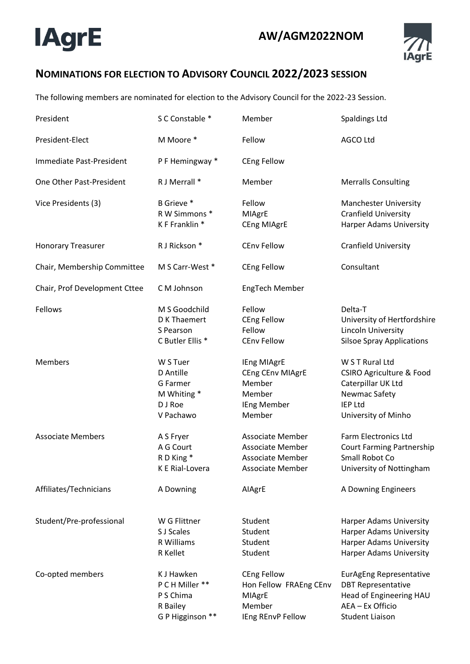## **IAgrE**



## **NOMINATIONS FOR ELECTION TO ADVISORY COUNCIL 2022/2023 SESSION**

The following members are nominated for election to the Advisory Council for the 2022-23 Session.

| President                     | S C Constable *                                                            | Member                                                                                                   | <b>Spaldings Ltd</b>                                                                                                                   |
|-------------------------------|----------------------------------------------------------------------------|----------------------------------------------------------------------------------------------------------|----------------------------------------------------------------------------------------------------------------------------------------|
| President-Elect               | M Moore *                                                                  | Fellow                                                                                                   | <b>AGCO Ltd</b>                                                                                                                        |
| Immediate Past-President      | P F Hemingway *                                                            | <b>CEng Fellow</b>                                                                                       |                                                                                                                                        |
| One Other Past-President      | R J Merrall *                                                              | Member                                                                                                   | <b>Merralls Consulting</b>                                                                                                             |
| Vice Presidents (3)           | B Grieve *<br>R W Simmons *<br>K F Franklin *                              | Fellow<br>MIAgrE<br>CEng MIAgrE                                                                          | <b>Manchester University</b><br><b>Cranfield University</b><br>Harper Adams University                                                 |
| <b>Honorary Treasurer</b>     | R J Rickson *                                                              | <b>CEnv Fellow</b>                                                                                       | <b>Cranfield University</b>                                                                                                            |
| Chair, Membership Committee   | M S Carr-West *                                                            | <b>CEng Fellow</b>                                                                                       | Consultant                                                                                                                             |
| Chair, Prof Development Cttee | C M Johnson                                                                | EngTech Member                                                                                           |                                                                                                                                        |
| Fellows                       | M S Goodchild<br>D K Thaemert<br>S Pearson<br>C Butler Ellis *             | Fellow<br><b>CEng Fellow</b><br>Fellow<br><b>CEnv Fellow</b>                                             | Delta-T<br>University of Hertfordshire<br>Lincoln University<br><b>Silsoe Spray Applications</b>                                       |
| Members                       | W S Tuer<br>D Antille<br>G Farmer<br>M Whiting *<br>D J Roe<br>V Pachawo   | IEng MIAgrE<br>CEng CEnv MIAgrE<br>Member<br>Member<br><b>IEng Member</b><br>Member                      | W S T Rural Ltd<br><b>CSIRO Agriculture &amp; Food</b><br>Caterpillar UK Ltd<br>Newmac Safety<br><b>IEP Ltd</b><br>University of Minho |
| <b>Associate Members</b>      | A S Fryer<br>A G Court<br>R D King *<br>K E Rial-Lovera                    | <b>Associate Member</b><br><b>Associate Member</b><br><b>Associate Member</b><br><b>Associate Member</b> | Farm Electronics Ltd<br><b>Court Farming Partnership</b><br>Small Robot Co<br>University of Nottingham                                 |
| Affiliates/Technicians        | A Downing                                                                  | AlAgrE                                                                                                   | A Downing Engineers                                                                                                                    |
| Student/Pre-professional      | W G Flittner<br>S J Scales<br>R Williams<br>R Kellet                       | Student<br>Student<br>Student<br>Student                                                                 | <b>Harper Adams University</b><br><b>Harper Adams University</b><br><b>Harper Adams University</b><br><b>Harper Adams University</b>   |
| Co-opted members              | K J Hawken<br>P C H Miller **<br>P S Chima<br>R Bailey<br>G P Higginson ** | <b>CEng Fellow</b><br>Hon Fellow FRAEng CEnv<br>MIAgrE<br>Member<br>IEng REnvP Fellow                    | <b>EurAgEng Representative</b><br><b>DBT Representative</b><br>Head of Engineering HAU<br>AEA - Ex Officio<br><b>Student Liaison</b>   |